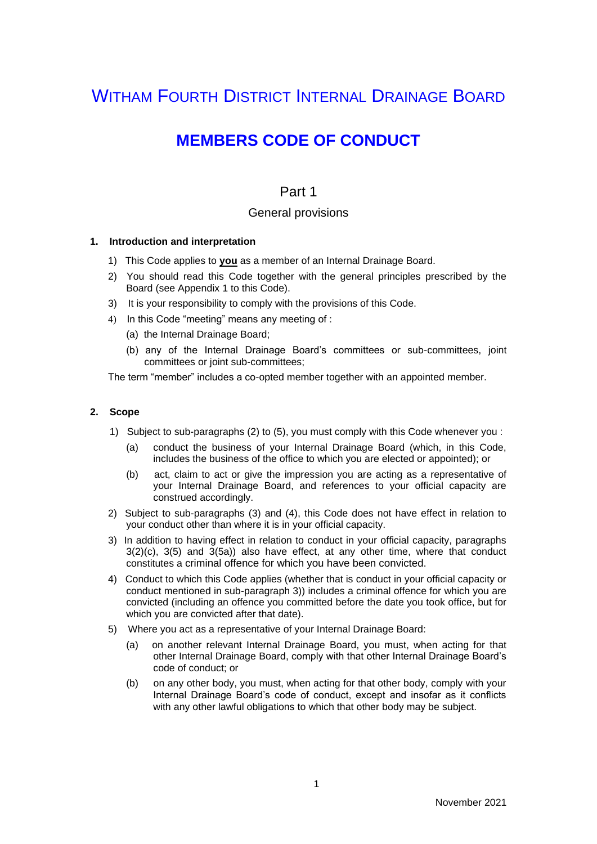# WITHAM FOURTH DISTRICT INTERNAL DRAINAGE BOARD

# **MEMBERS CODE OF CONDUCT**

# Part 1

## General provisions

#### **1. Introduction and interpretation**

- 1) This Code applies to **you** as a member of an Internal Drainage Board.
- 2) You should read this Code together with the general principles prescribed by the Board (see Appendix 1 to this Code).
- 3) It is your responsibility to comply with the provisions of this Code.
- 4) In this Code "meeting" means any meeting of :
	- (a) the Internal Drainage Board;
	- (b) any of the Internal Drainage Board's committees or sub-committees, joint committees or joint sub-committees;

The term "member" includes a co-opted member together with an appointed member.

## **2. Scope**

- 1) Subject to sub-paragraphs (2) to (5), you must comply with this Code whenever you :
	- (a) conduct the business of your Internal Drainage Board (which, in this Code, includes the business of the office to which you are elected or appointed); or
	- (b) act, claim to act or give the impression you are acting as a representative of your Internal Drainage Board, and references to your official capacity are construed accordingly.
- 2) Subject to sub-paragraphs (3) and (4), this Code does not have effect in relation to your conduct other than where it is in your official capacity.
- 3) In addition to having effect in relation to conduct in your official capacity, paragraphs 3(2)(c), 3(5) and 3(5a)) also have effect, at any other time, where that conduct constitutes a criminal offence for which you have been convicted.
- 4) Conduct to which this Code applies (whether that is conduct in your official capacity or conduct mentioned in sub-paragraph 3)) includes a criminal offence for which you are convicted (including an offence you committed before the date you took office, but for which you are convicted after that date).
- 5) Where you act as a representative of your Internal Drainage Board:
	- (a) on another relevant Internal Drainage Board, you must, when acting for that other Internal Drainage Board, comply with that other Internal Drainage Board's code of conduct; or
	- (b) on any other body, you must, when acting for that other body, comply with your Internal Drainage Board's code of conduct, except and insofar as it conflicts with any other lawful obligations to which that other body may be subject.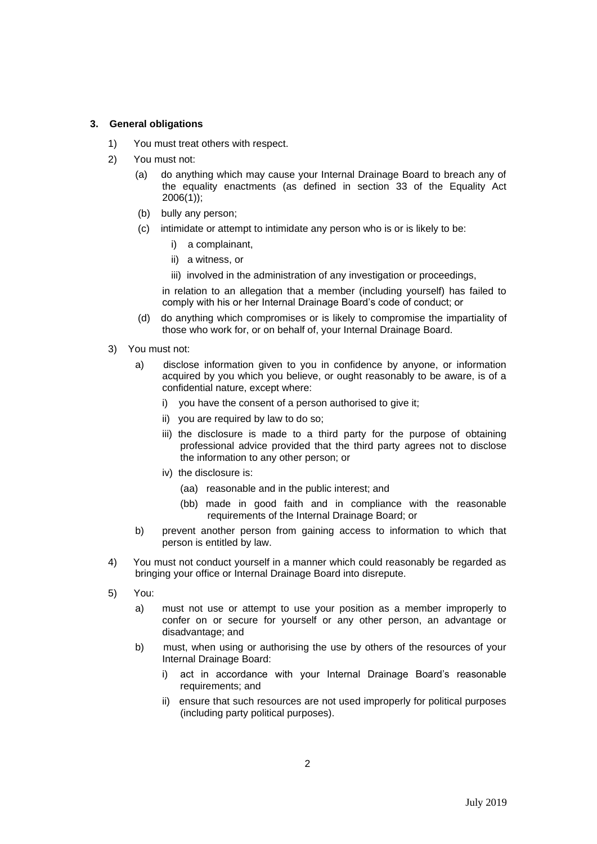#### **3. General obligations**

- 1) You must treat others with respect.
- 2) You must not:
	- (a) do anything which may cause your Internal Drainage Board to breach any of the equality enactments (as defined in section 33 of the Equality Act 2006(1));
	- (b) bully any person;
	- (c) intimidate or attempt to intimidate any person who is or is likely to be:
		- i) a complainant,
		- ii) a witness, or
		- iii) involved in the administration of any investigation or proceedings,

in relation to an allegation that a member (including yourself) has failed to comply with his or her Internal Drainage Board's code of conduct; or

- (d) do anything which compromises or is likely to compromise the impartiality of those who work for, or on behalf of, your Internal Drainage Board.
- 3) You must not:
	- a) disclose information given to you in confidence by anyone, or information acquired by you which you believe, or ought reasonably to be aware, is of a confidential nature, except where:
		- i) you have the consent of a person authorised to give it;
		- ii) you are required by law to do so;
		- iii) the disclosure is made to a third party for the purpose of obtaining professional advice provided that the third party agrees not to disclose the information to any other person; or
		- iv) the disclosure is:
			- (aa) reasonable and in the public interest; and
			- (bb) made in good faith and in compliance with the reasonable requirements of the Internal Drainage Board; or
	- b) prevent another person from gaining access to information to which that person is entitled by law.
- 4) You must not conduct yourself in a manner which could reasonably be regarded as bringing your office or Internal Drainage Board into disrepute.
- 5) You:
	- a) must not use or attempt to use your position as a member improperly to confer on or secure for yourself or any other person, an advantage or disadvantage; and
	- b) must, when using or authorising the use by others of the resources of your Internal Drainage Board:
		- i) act in accordance with your Internal Drainage Board's reasonable requirements; and
		- ii) ensure that such resources are not used improperly for political purposes (including party political purposes).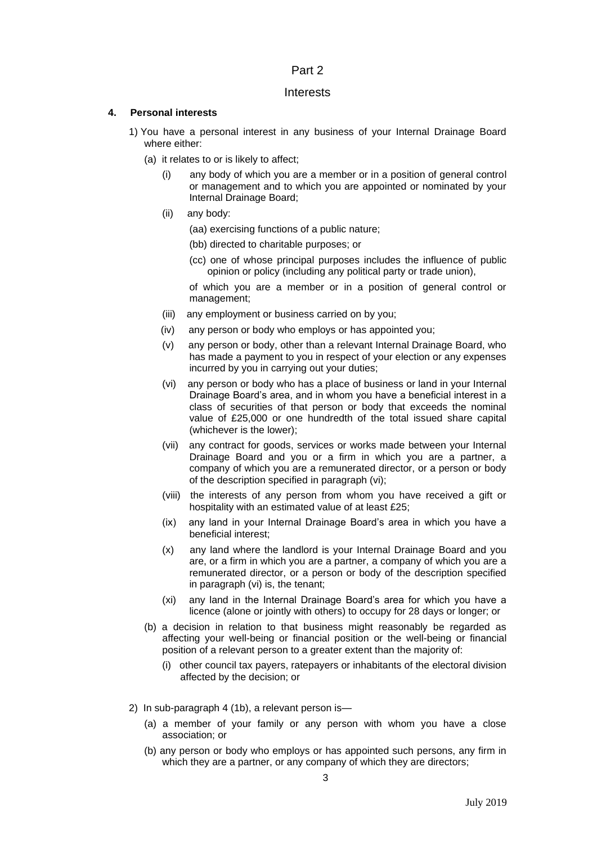## Part 2

#### Interests

#### **4. Personal interests**

- 1) You have a personal interest in any business of your Internal Drainage Board where either:
	- (a) it relates to or is likely to affect;
		- (i) any body of which you are a member or in a position of general control or management and to which you are appointed or nominated by your Internal Drainage Board;
		- (ii) any body:
			- (aa) exercising functions of a public nature;
			- (bb) directed to charitable purposes; or
			- (cc) one of whose principal purposes includes the influence of public opinion or policy (including any political party or trade union),

of which you are a member or in a position of general control or management;

- (iii) any employment or business carried on by you;
- (iv) any person or body who employs or has appointed you;
- (v) any person or body, other than a relevant Internal Drainage Board, who has made a payment to you in respect of your election or any expenses incurred by you in carrying out your duties;
- (vi) any person or body who has a place of business or land in your Internal Drainage Board's area, and in whom you have a beneficial interest in a class of securities of that person or body that exceeds the nominal value of £25,000 or one hundredth of the total issued share capital (whichever is the lower);
- (vii) any contract for goods, services or works made between your Internal Drainage Board and you or a firm in which you are a partner, a company of which you are a remunerated director, or a person or body of the description specified in paragraph (vi);
- (viii) the interests of any person from whom you have received a gift or hospitality with an estimated value of at least £25;
- (ix) any land in your Internal Drainage Board's area in which you have a beneficial interest;
- (x) any land where the landlord is your Internal Drainage Board and you are, or a firm in which you are a partner, a company of which you are a remunerated director, or a person or body of the description specified in paragraph (vi) is, the tenant;
- (xi) any land in the Internal Drainage Board's area for which you have a licence (alone or jointly with others) to occupy for 28 days or longer; or
- (b) a decision in relation to that business might reasonably be regarded as affecting your well-being or financial position or the well-being or financial position of a relevant person to a greater extent than the majority of:
	- (i) other council tax payers, ratepayers or inhabitants of the electoral division affected by the decision; or
- 2) In sub-paragraph 4 (1b), a relevant person is—
	- (a) a member of your family or any person with whom you have a close association; or
	- (b) any person or body who employs or has appointed such persons, any firm in which they are a partner, or any company of which they are directors;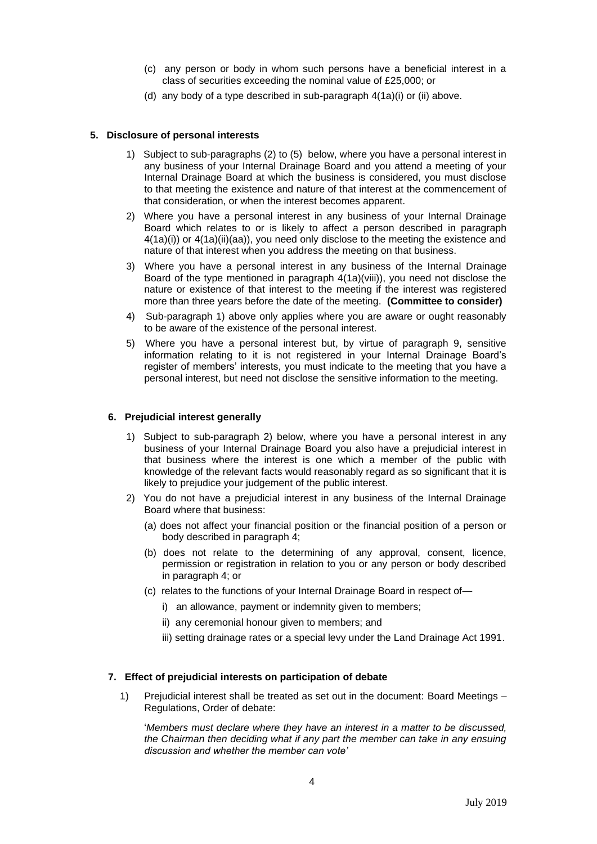- (c) any person or body in whom such persons have a beneficial interest in a class of securities exceeding the nominal value of £25,000; or
- (d) any body of a type described in sub-paragraph 4(1a)(i) or (ii) above.

#### **5. Disclosure of personal interests**

- 1) Subject to sub-paragraphs (2) to (5) below, where you have a personal interest in any business of your Internal Drainage Board and you attend a meeting of your Internal Drainage Board at which the business is considered, you must disclose to that meeting the existence and nature of that interest at the commencement of that consideration, or when the interest becomes apparent.
- 2) Where you have a personal interest in any business of your Internal Drainage Board which relates to or is likely to affect a person described in paragraph  $4(1a)(i)$  or  $4(1a)(ii)(aa)$ , you need only disclose to the meeting the existence and nature of that interest when you address the meeting on that business.
- 3) Where you have a personal interest in any business of the Internal Drainage Board of the type mentioned in paragraph 4(1a)(viii)), you need not disclose the nature or existence of that interest to the meeting if the interest was registered more than three years before the date of the meeting. **(Committee to consider)**
- 4) Sub-paragraph 1) above only applies where you are aware or ought reasonably to be aware of the existence of the personal interest.
- 5) Where you have a personal interest but, by virtue of paragraph 9, sensitive information relating to it is not registered in your Internal Drainage Board's register of members' interests, you must indicate to the meeting that you have a personal interest, but need not disclose the sensitive information to the meeting.

#### **6. Prejudicial interest generally**

- 1) Subject to sub-paragraph 2) below, where you have a personal interest in any business of your Internal Drainage Board you also have a prejudicial interest in that business where the interest is one which a member of the public with knowledge of the relevant facts would reasonably regard as so significant that it is likely to prejudice your judgement of the public interest.
- 2) You do not have a prejudicial interest in any business of the Internal Drainage Board where that business:
	- (a) does not affect your financial position or the financial position of a person or body described in paragraph 4;
	- (b) does not relate to the determining of any approval, consent, licence, permission or registration in relation to you or any person or body described in paragraph 4; or
	- (c) relates to the functions of your Internal Drainage Board in respect of
		- i) an allowance, payment or indemnity given to members;
		- ii) any ceremonial honour given to members; and
		- iii) setting drainage rates or a special levy under the Land Drainage Act 1991.

#### **7. Effect of prejudicial interests on participation of debate**

1) Prejudicial interest shall be treated as set out in the document: Board Meetings – Regulations, Order of debate:

'*Members must declare where they have an interest in a matter to be discussed, the Chairman then deciding what if any part the member can take in any ensuing discussion and whether the member can vote'*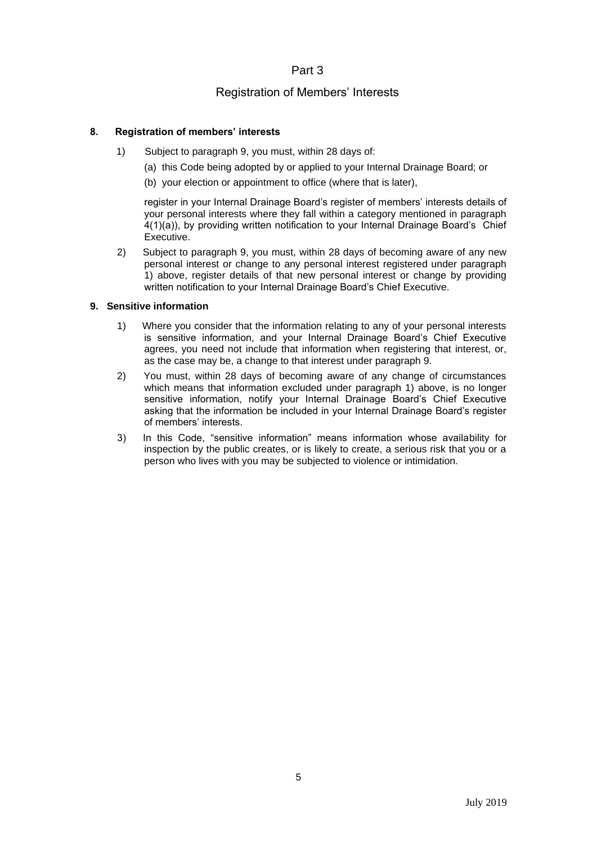# Part 3

# Registration of Members' Interests

### **8. Registration of members' interests**

- 1) Subject to paragraph 9, you must, within 28 days of:
	- (a) this Code being adopted by or applied to your Internal Drainage Board; or
	- (b) your election or appointment to office (where that is later),

register in your Internal Drainage Board's register of members' interests details of your personal interests where they fall within a category mentioned in paragraph 4(1)(a)), by providing written notification to your Internal Drainage Board's Chief Executive.

2) Subject to paragraph 9, you must, within 28 days of becoming aware of any new personal interest or change to any personal interest registered under paragraph 1) above, register details of that new personal interest or change by providing written notification to your Internal Drainage Board's Chief Executive.

#### **9. Sensitive information**

- 1) Where you consider that the information relating to any of your personal interests is sensitive information, and your Internal Drainage Board's Chief Executive agrees, you need not include that information when registering that interest, or, as the case may be, a change to that interest under paragraph 9.
- 2) You must, within 28 days of becoming aware of any change of circumstances which means that information excluded under paragraph 1) above, is no longer sensitive information, notify your Internal Drainage Board's Chief Executive asking that the information be included in your Internal Drainage Board's register of members' interests.
- 3) In this Code, "sensitive information" means information whose availability for inspection by the public creates, or is likely to create, a serious risk that you or a person who lives with you may be subjected to violence or intimidation.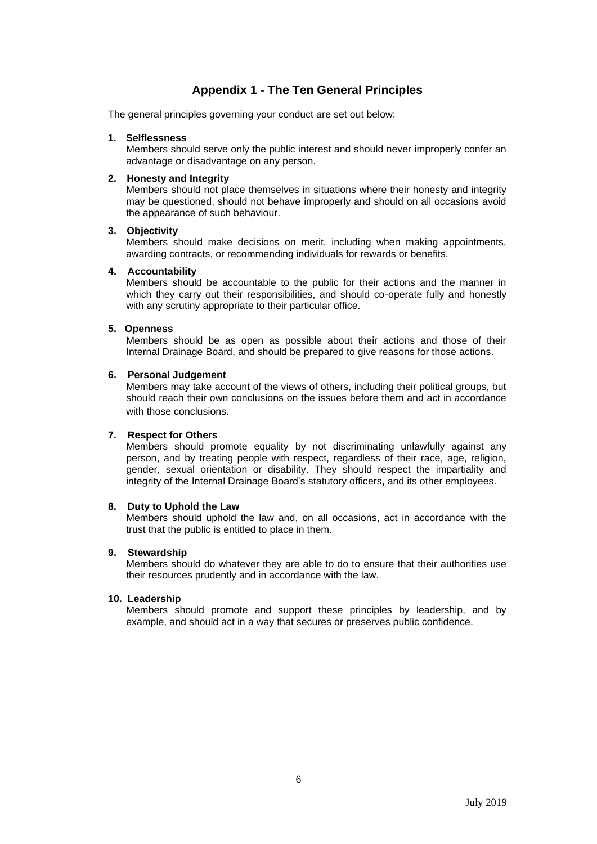# **Appendix 1 - The Ten General Principles**

The general principles governing your conduct *a*re set out below:

#### **1. Selflessness**

Members should serve only the public interest and should never improperly confer an advantage or disadvantage on any person.

#### **2. Honesty and Integrity**

Members should not place themselves in situations where their honesty and integrity may be questioned, should not behave improperly and should on all occasions avoid the appearance of such behaviour.

#### **3. Objectivity**

Members should make decisions on merit, including when making appointments, awarding contracts, or recommending individuals for rewards or benefits.

#### **4. Accountability**

Members should be accountable to the public for their actions and the manner in which they carry out their responsibilities, and should co-operate fully and honestly with any scrutiny appropriate to their particular office.

#### **5. Openness**

Members should be as open as possible about their actions and those of their Internal Drainage Board, and should be prepared to give reasons for those actions.

#### **6. Personal Judgement**

Members may take account of the views of others, including their political groups, but should reach their own conclusions on the issues before them and act in accordance with those conclusions.

### **7. Respect for Others**

Members should promote equality by not discriminating unlawfully against any person, and by treating people with respect, regardless of their race, age, religion, gender, sexual orientation or disability. They should respect the impartiality and integrity of the Internal Drainage Board's statutory officers, and its other employees.

#### **8. Duty to Uphold the Law**

Members should uphold the law and, on all occasions, act in accordance with the trust that the public is entitled to place in them.

#### **9. Stewardship**

Members should do whatever they are able to do to ensure that their authorities use their resources prudently and in accordance with the law.

#### **10. Leadership**

Members should promote and support these principles by leadership, and by example, and should act in a way that secures or preserves public confidence.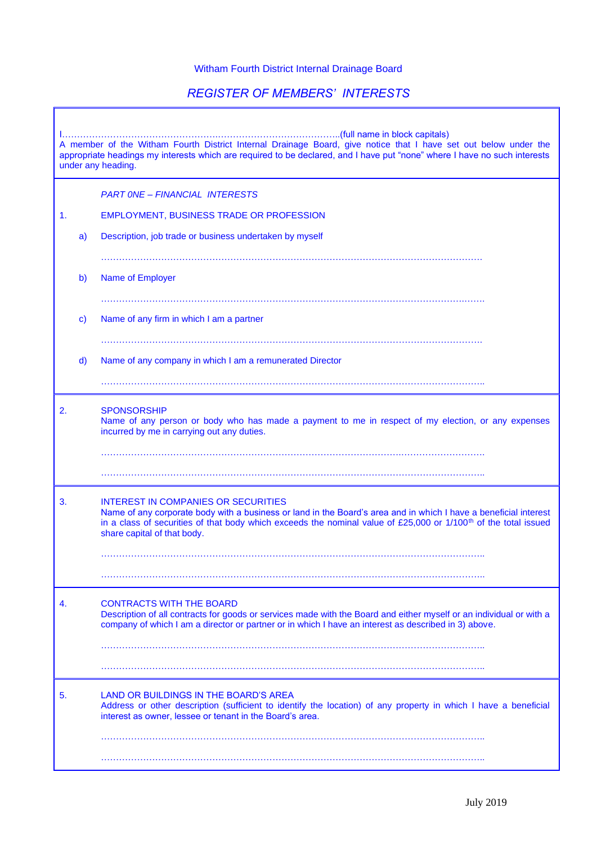# Witham Fourth District Internal Drainage Board

# *REGISTER OF MEMBERS' INTERESTS*

| A member of the Witham Fourth District Internal Drainage Board, give notice that I have set out below under the<br>appropriate headings my interests which are required to be declared, and I have put "none" where I have no such interests<br>under any heading. |              |                                                                                                                                                                                                                                                                                                                              |
|--------------------------------------------------------------------------------------------------------------------------------------------------------------------------------------------------------------------------------------------------------------------|--------------|------------------------------------------------------------------------------------------------------------------------------------------------------------------------------------------------------------------------------------------------------------------------------------------------------------------------------|
|                                                                                                                                                                                                                                                                    |              | <b>PART ONE - FINANCIAL INTERESTS</b>                                                                                                                                                                                                                                                                                        |
| 1.                                                                                                                                                                                                                                                                 |              | <b>EMPLOYMENT, BUSINESS TRADE OR PROFESSION</b>                                                                                                                                                                                                                                                                              |
|                                                                                                                                                                                                                                                                    | a)           | Description, job trade or business undertaken by myself                                                                                                                                                                                                                                                                      |
|                                                                                                                                                                                                                                                                    |              |                                                                                                                                                                                                                                                                                                                              |
|                                                                                                                                                                                                                                                                    | b)           | Name of Employer                                                                                                                                                                                                                                                                                                             |
|                                                                                                                                                                                                                                                                    |              |                                                                                                                                                                                                                                                                                                                              |
|                                                                                                                                                                                                                                                                    | $\mathbf{c}$ | Name of any firm in which I am a partner                                                                                                                                                                                                                                                                                     |
|                                                                                                                                                                                                                                                                    |              |                                                                                                                                                                                                                                                                                                                              |
|                                                                                                                                                                                                                                                                    | $\mathsf{d}$ | Name of any company in which I am a remunerated Director                                                                                                                                                                                                                                                                     |
|                                                                                                                                                                                                                                                                    |              |                                                                                                                                                                                                                                                                                                                              |
| 2.                                                                                                                                                                                                                                                                 |              | <b>SPONSORSHIP</b><br>Name of any person or body who has made a payment to me in respect of my election, or any expenses<br>incurred by me in carrying out any duties.                                                                                                                                                       |
|                                                                                                                                                                                                                                                                    |              |                                                                                                                                                                                                                                                                                                                              |
|                                                                                                                                                                                                                                                                    |              |                                                                                                                                                                                                                                                                                                                              |
| 3.                                                                                                                                                                                                                                                                 |              | <b>INTEREST IN COMPANIES OR SECURITIES</b><br>Name of any corporate body with a business or land in the Board's area and in which I have a beneficial interest<br>in a class of securities of that body which exceeds the nominal value of £25,000 or 1/100 <sup>th</sup> of the total issued<br>share capital of that body. |
|                                                                                                                                                                                                                                                                    |              |                                                                                                                                                                                                                                                                                                                              |
|                                                                                                                                                                                                                                                                    |              |                                                                                                                                                                                                                                                                                                                              |
| 4.                                                                                                                                                                                                                                                                 |              | <b>CONTRACTS WITH THE BOARD</b><br>Description of all contracts for goods or services made with the Board and either myself or an individual or with a<br>company of which I am a director or partner or in which I have an interest as described in 3) above.                                                               |
|                                                                                                                                                                                                                                                                    |              |                                                                                                                                                                                                                                                                                                                              |
|                                                                                                                                                                                                                                                                    |              |                                                                                                                                                                                                                                                                                                                              |
| 5.                                                                                                                                                                                                                                                                 |              | LAND OR BUILDINGS IN THE BOARD'S AREA<br>Address or other description (sufficient to identify the location) of any property in which I have a beneficial<br>interest as owner, lessee or tenant in the Board's area.                                                                                                         |
|                                                                                                                                                                                                                                                                    |              |                                                                                                                                                                                                                                                                                                                              |